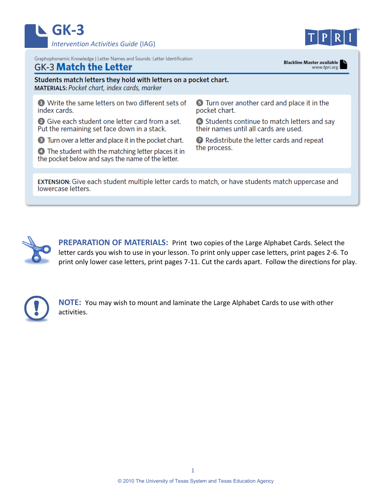



Graphophonemic Knowledge | Letter Names and Sounds: Letter Identification

## **GK-3 Match the Letter**

**Blackline Master available** www.tpri.org

## Students match letters they hold with letters on a pocket chart. **MATERIALS: Pocket chart, index cards, marker O** Write the same letters on two different sets of **5** Turn over another card and place it in the index cards. pocket chart. **2** Give each student one letter card from a set. 6 Students continue to match letters and say their names until all cards are used. Put the remaining set face down in a stack. 2 Redistribute the letter cards and repeat **3** Turn over a letter and place it in the pocket chart. the process. 4 The student with the matching letter places it in the pocket below and says the name of the letter.

**EXTENSION:** Give each student multiple letter cards to match, or have students match uppercase and lowercase letters.



**PREPARATION OF MATERIALS:** Print two copies of the Large Alphabet Cards. Select the letter cards you wish to use in your lesson. To print only upper case letters, print pages 2-6. To print only lower case letters, print pages 7-11. Cut the cards apart. Follow the directions for play.



**NOTE:** You may wish to mount and laminate the Large Alphabet Cards to use with other activities.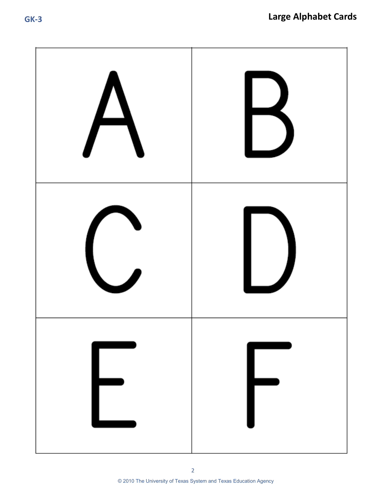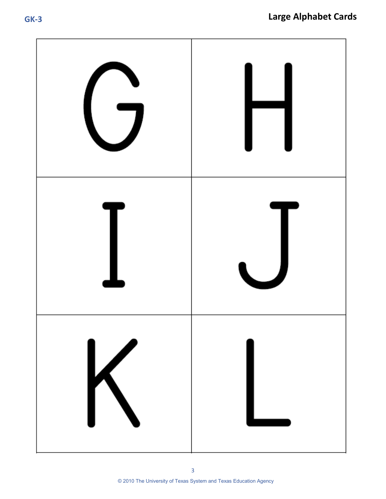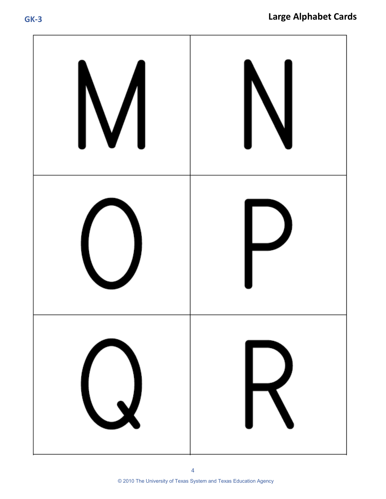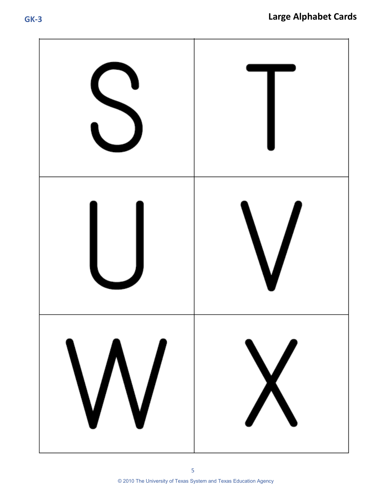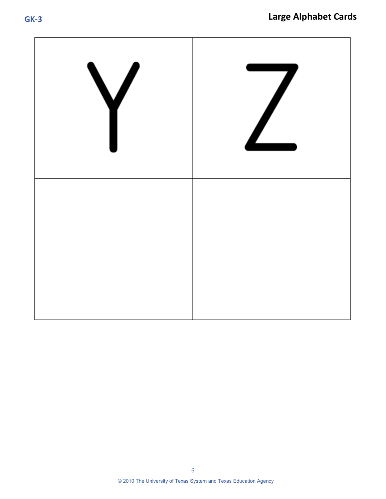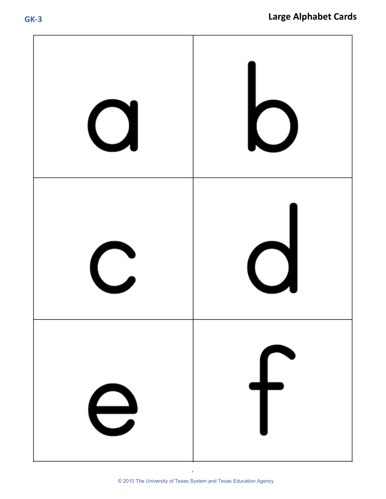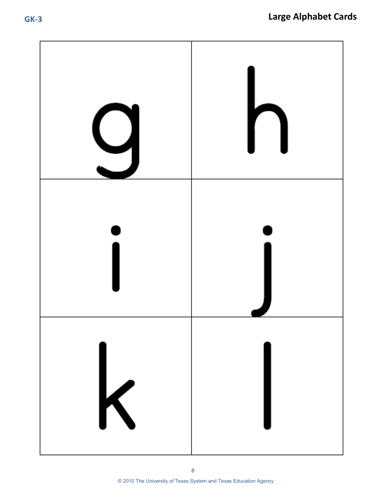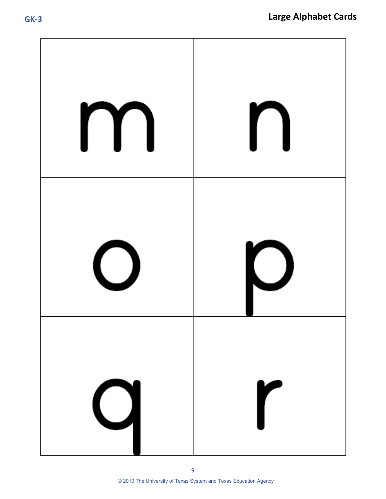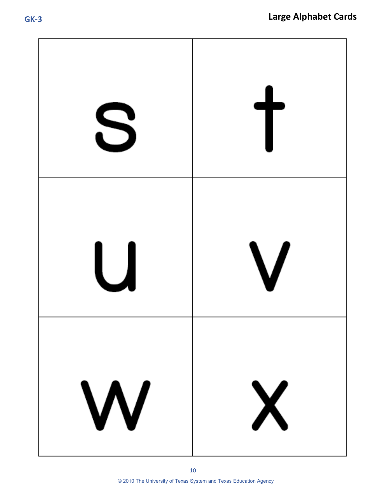